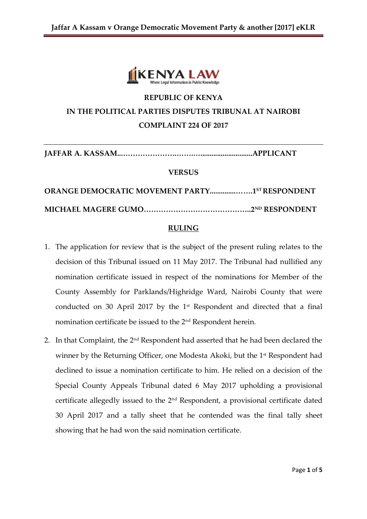

# **REPUBLIC OF KENYA IN THE POLITICAL PARTIES DISPUTES TRIBUNAL AT NAIROBI COMPLAINT 224 OF 2017**

**JAFFAR A. KASSAM...………………….…….…............................APPLICANT**

#### **VERSUS**

**ORANGE DEMOCRATIC MOVEMENT PARTY..............…….1 ST RESPONDENT MICHAEL MAGERE GUMO……………………………………..2ND RESPONDENT**

### **RULING**

- 1. The application for review that is the subject of the present ruling relates to the decision of this Tribunal issued on 11 May 2017. The Tribunal had nullified any nomination certificate issued in respect of the nominations for Member of the County Assembly for Parklands/Highridge Ward, Nairobi County that were conducted on 30 April 2017 by the 1st Respondent and directed that a final nomination certificate be issued to the 2nd Respondent herein.
- 2. In that Complaint, the 2<sup>nd</sup> Respondent had asserted that he had been declared the winner by the Returning Officer, one Modesta Akoki, but the 1<sup>st</sup> Respondent had declined to issue a nomination certificate to him. He relied on a decision of the Special County Appeals Tribunal dated 6 May 2017 upholding a provisional certificate allegedly issued to the 2nd Respondent, a provisional certificate dated 30 April 2017 and a tally sheet that he contended was the final tally sheet showing that he had won the said nomination certificate.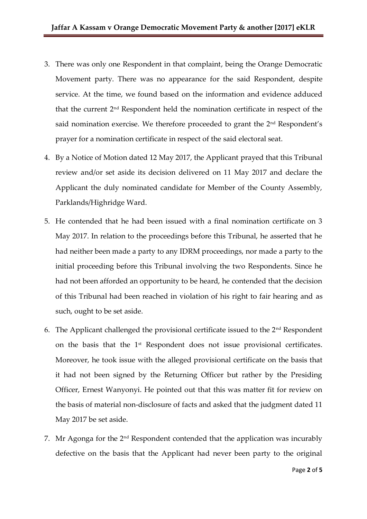- 3. There was only one Respondent in that complaint, being the Orange Democratic Movement party. There was no appearance for the said Respondent, despite service. At the time, we found based on the information and evidence adduced that the current 2nd Respondent held the nomination certificate in respect of the said nomination exercise. We therefore proceeded to grant the 2<sup>nd</sup> Respondent's prayer for a nomination certificate in respect of the said electoral seat.
- 4. By a Notice of Motion dated 12 May 2017, the Applicant prayed that this Tribunal review and/or set aside its decision delivered on 11 May 2017 and declare the Applicant the duly nominated candidate for Member of the County Assembly, Parklands/Highridge Ward.
- 5. He contended that he had been issued with a final nomination certificate on 3 May 2017. In relation to the proceedings before this Tribunal, he asserted that he had neither been made a party to any IDRM proceedings, nor made a party to the initial proceeding before this Tribunal involving the two Respondents. Since he had not been afforded an opportunity to be heard, he contended that the decision of this Tribunal had been reached in violation of his right to fair hearing and as such, ought to be set aside.
- 6. The Applicant challenged the provisional certificate issued to the  $2<sup>nd</sup>$  Respondent on the basis that the 1st Respondent does not issue provisional certificates. Moreover, he took issue with the alleged provisional certificate on the basis that it had not been signed by the Returning Officer but rather by the Presiding Officer, Ernest Wanyonyi. He pointed out that this was matter fit for review on the basis of material non-disclosure of facts and asked that the judgment dated 11 May 2017 be set aside.
- 7. Mr Agonga for the  $2<sup>nd</sup>$  Respondent contended that the application was incurably defective on the basis that the Applicant had never been party to the original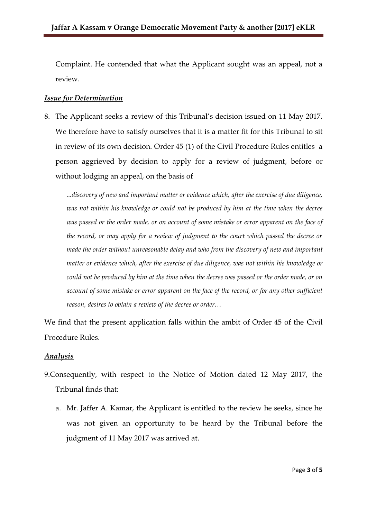Complaint. He contended that what the Applicant sought was an appeal, not a review.

## *Issue for Determination*

8. The Applicant seeks a review of this Tribunal's decision issued on 11 May 2017. We therefore have to satisfy ourselves that it is a matter fit for this Tribunal to sit in review of its own decision. Order 45 (1) of the Civil Procedure Rules entitles a person aggrieved by decision to apply for a review of judgment, before or without lodging an appeal, on the basis of

*...discovery of new and important matter or evidence which, after the exercise of due diligence, was not within his knowledge or could not be produced by him at the time when the decree was passed or the order made, or on account of some mistake or error apparent on the face of the record, or may apply for a review of judgment to the court which passed the decree or made the order without unreasonable delay and who from the discovery of new and important matter or evidence which, after the exercise of due diligence, was not within his knowledge or could not be produced by him at the time when the decree was passed or the order made, or on account of some mistake or error apparent on the face of the record, or for any other sufficient reason, desires to obtain a review of the decree or order…*

We find that the present application falls within the ambit of Order 45 of the Civil Procedure Rules.

# *Analysis*

- 9.Consequently, with respect to the Notice of Motion dated 12 May 2017, the Tribunal finds that:
	- a. Mr. Jaffer A. Kamar, the Applicant is entitled to the review he seeks, since he was not given an opportunity to be heard by the Tribunal before the judgment of 11 May 2017 was arrived at.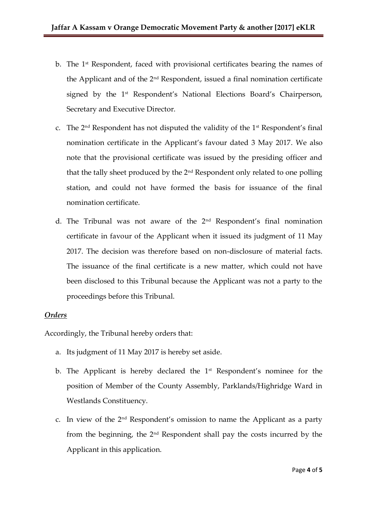- b. The 1st Respondent, faced with provisional certificates bearing the names of the Applicant and of the 2nd Respondent, issued a final nomination certificate signed by the 1<sup>st</sup> Respondent's National Elections Board's Chairperson, Secretary and Executive Director.
- c. The  $2<sup>nd</sup>$  Respondent has not disputed the validity of the  $1<sup>st</sup>$  Respondent's final nomination certificate in the Applicant's favour dated 3 May 2017. We also note that the provisional certificate was issued by the presiding officer and that the tally sheet produced by the 2nd Respondent only related to one polling station, and could not have formed the basis for issuance of the final nomination certificate.
- d. The Tribunal was not aware of the 2nd Respondent's final nomination certificate in favour of the Applicant when it issued its judgment of 11 May 2017. The decision was therefore based on non-disclosure of material facts. The issuance of the final certificate is a new matter, which could not have been disclosed to this Tribunal because the Applicant was not a party to the proceedings before this Tribunal.

# *Orders*

Accordingly, the Tribunal hereby orders that:

- a. Its judgment of 11 May 2017 is hereby set aside.
- b. The Applicant is hereby declared the  $1<sup>st</sup>$  Respondent's nominee for the position of Member of the County Assembly, Parklands/Highridge Ward in Westlands Constituency.
- c. In view of the  $2<sup>nd</sup>$  Respondent's omission to name the Applicant as a party from the beginning, the 2nd Respondent shall pay the costs incurred by the Applicant in this application.